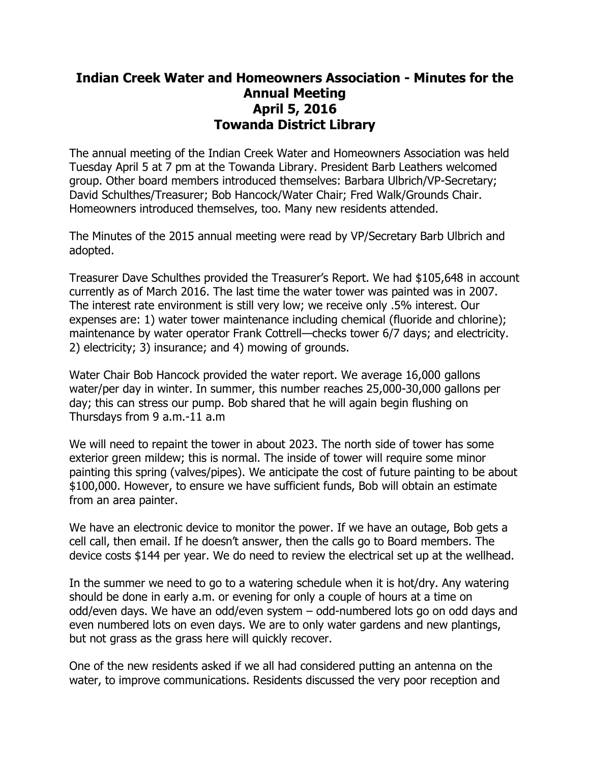## **Indian Creek Water and Homeowners Association - Minutes for the Annual Meeting April 5, 2016 Towanda District Library**

The annual meeting of the Indian Creek Water and Homeowners Association was held Tuesday April 5 at 7 pm at the Towanda Library. President Barb Leathers welcomed group. Other board members introduced themselves: Barbara Ulbrich/VP-Secretary; David Schulthes/Treasurer; Bob Hancock/Water Chair; Fred Walk/Grounds Chair. Homeowners introduced themselves, too. Many new residents attended.

The Minutes of the 2015 annual meeting were read by VP/Secretary Barb Ulbrich and adopted.

Treasurer Dave Schulthes provided the Treasurer's Report. We had \$105,648 in account currently as of March 2016. The last time the water tower was painted was in 2007. The interest rate environment is still very low; we receive only .5% interest. Our expenses are: 1) water tower maintenance including chemical (fluoride and chlorine); maintenance by water operator Frank Cottrell—checks tower 6/7 days; and electricity. 2) electricity; 3) insurance; and 4) mowing of grounds.

Water Chair Bob Hancock provided the water report. We average 16,000 gallons water/per day in winter. In summer, this number reaches 25,000-30,000 gallons per day; this can stress our pump. Bob shared that he will again begin flushing on Thursdays from 9 a.m.-11 a.m

We will need to repaint the tower in about 2023. The north side of tower has some exterior green mildew; this is normal. The inside of tower will require some minor painting this spring (valves/pipes). We anticipate the cost of future painting to be about \$100,000. However, to ensure we have sufficient funds, Bob will obtain an estimate from an area painter.

We have an electronic device to monitor the power. If we have an outage, Bob gets a cell call, then email. If he doesn't answer, then the calls go to Board members. The device costs \$144 per year. We do need to review the electrical set up at the wellhead.

In the summer we need to go to a watering schedule when it is hot/dry. Any watering should be done in early a.m. or evening for only a couple of hours at a time on odd/even days. We have an odd/even system – odd-numbered lots go on odd days and even numbered lots on even days. We are to only water gardens and new plantings, but not grass as the grass here will quickly recover.

One of the new residents asked if we all had considered putting an antenna on the water, to improve communications. Residents discussed the very poor reception and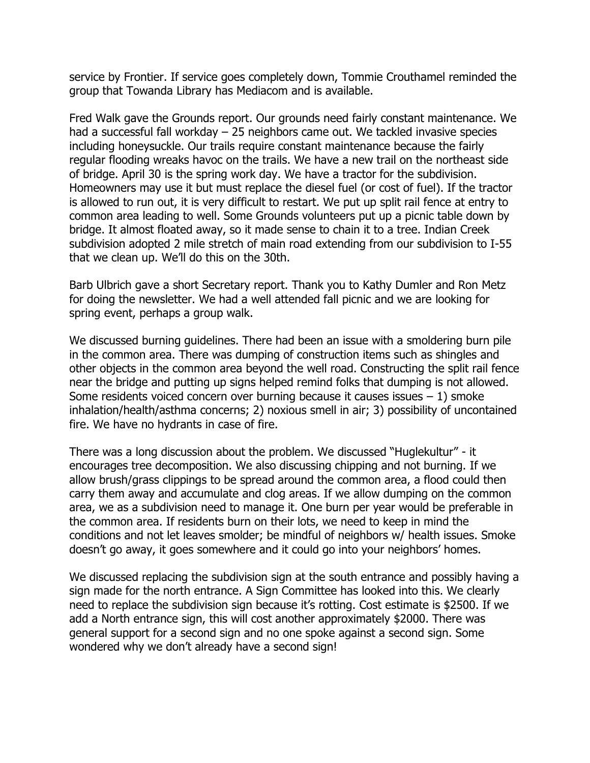service by Frontier. If service goes completely down, Tommie Crouthamel reminded the group that Towanda Library has Mediacom and is available.

Fred Walk gave the Grounds report. Our grounds need fairly constant maintenance. We had a successful fall workday – 25 neighbors came out. We tackled invasive species including honeysuckle. Our trails require constant maintenance because the fairly regular flooding wreaks havoc on the trails. We have a new trail on the northeast side of bridge. April 30 is the spring work day. We have a tractor for the subdivision. Homeowners may use it but must replace the diesel fuel (or cost of fuel). If the tractor is allowed to run out, it is very difficult to restart. We put up split rail fence at entry to common area leading to well. Some Grounds volunteers put up a picnic table down by bridge. It almost floated away, so it made sense to chain it to a tree. Indian Creek subdivision adopted 2 mile stretch of main road extending from our subdivision to I-55 that we clean up. We'll do this on the 30th.

Barb Ulbrich gave a short Secretary report. Thank you to Kathy Dumler and Ron Metz for doing the newsletter. We had a well attended fall picnic and we are looking for spring event, perhaps a group walk.

We discussed burning guidelines. There had been an issue with a smoldering burn pile in the common area. There was dumping of construction items such as shingles and other objects in the common area beyond the well road. Constructing the split rail fence near the bridge and putting up signs helped remind folks that dumping is not allowed. Some residents voiced concern over burning because it causes issues  $-1$ ) smoke inhalation/health/asthma concerns; 2) noxious smell in air; 3) possibility of uncontained fire. We have no hydrants in case of fire.

There was a long discussion about the problem. We discussed "Huglekultur" - it encourages tree decomposition. We also discussing chipping and not burning. If we allow brush/grass clippings to be spread around the common area, a flood could then carry them away and accumulate and clog areas. If we allow dumping on the common area, we as a subdivision need to manage it. One burn per year would be preferable in the common area. If residents burn on their lots, we need to keep in mind the conditions and not let leaves smolder; be mindful of neighbors w/ health issues. Smoke doesn't go away, it goes somewhere and it could go into your neighbors' homes.

We discussed replacing the subdivision sign at the south entrance and possibly having a sign made for the north entrance. A Sign Committee has looked into this. We clearly need to replace the subdivision sign because it's rotting. Cost estimate is \$2500. If we add a North entrance sign, this will cost another approximately \$2000. There was general support for a second sign and no one spoke against a second sign. Some wondered why we don't already have a second sign!